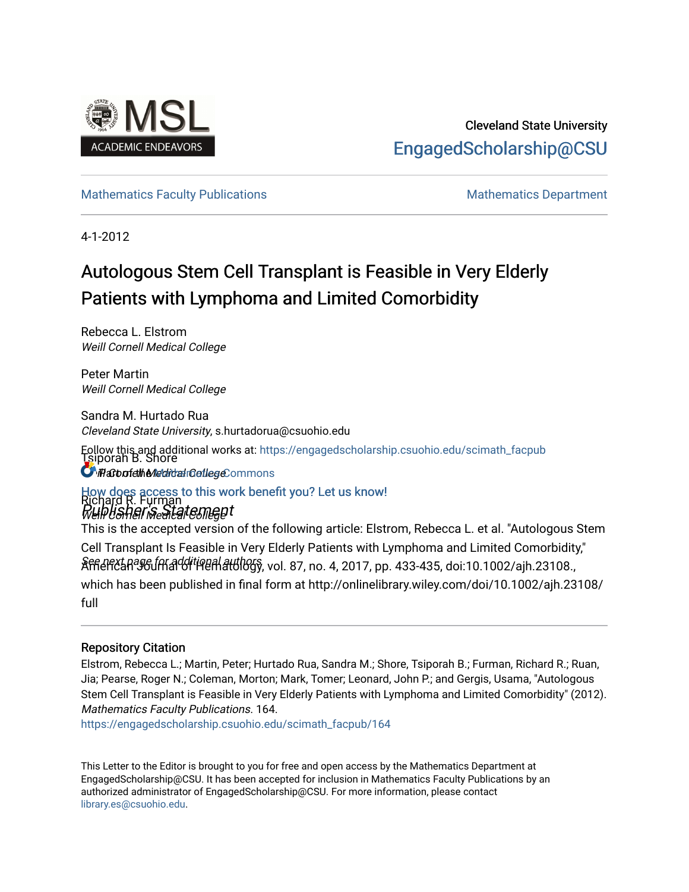

## Cleveland State University [EngagedScholarship@CSU](https://engagedscholarship.csuohio.edu/)

### [Mathematics Faculty Publications](https://engagedscholarship.csuohio.edu/scimath_facpub) Mathematics Department

4-1-2012

# Autologous Stem Cell Transplant is Feasible in Very Elderly Patients with Lymphoma and Limited Comorbidity

Rebecca L. Elstrom Weill Cornell Medical College

Peter Martin Weill Cornell Medical College

Sandra M. Hurtado Rua Cleveland State University, s.hurtadorua@csuohio.edu

Follow this and additional works at: [https://engagedscholarship.csuohio.edu/scimath\\_facpub](https://engagedscholarship.csuohio.edu/scimath_facpub?utm_source=engagedscholarship.csuohio.edu%2Fscimath_facpub%2F164&utm_medium=PDF&utm_campaign=PDFCoverPages)<br>Tsiporah B. Shore **Will act of the Medical College Commons** 

# [How does access to this work benefit you? Let us know!](http://library.csuohio.edu/engaged/)<br>Richard R. Furman

Rublisher's Statement

 $\frac{1}{2}$ Rffielfican  $\frac{1}{2}$  and  $\frac{1}{2}$  and  $\frac{1}{2}$  and  $\frac{1}{2}$  and  $\frac{1}{2}$  , vol. 87, no. 4, 2017, pp. 433-435, doi:10.1002/ajh.23108., This is the accepted version of the following article: Elstrom, Rebecca L. et al. "Autologous Stem Cell Transplant Is Feasible in Very Elderly Patients with Lymphoma and Limited Comorbidity," which has been published in final form at http://onlinelibrary.wiley.com/doi/10.1002/ajh.23108/ full

### Repository Citation

Elstrom, Rebecca L.; Martin, Peter; Hurtado Rua, Sandra M.; Shore, Tsiporah B.; Furman, Richard R.; Ruan, Jia; Pearse, Roger N.; Coleman, Morton; Mark, Tomer; Leonard, John P.; and Gergis, Usama, "Autologous Stem Cell Transplant is Feasible in Very Elderly Patients with Lymphoma and Limited Comorbidity" (2012). Mathematics Faculty Publications. 164.

[https://engagedscholarship.csuohio.edu/scimath\\_facpub/164](https://engagedscholarship.csuohio.edu/scimath_facpub/164?utm_source=engagedscholarship.csuohio.edu%2Fscimath_facpub%2F164&utm_medium=PDF&utm_campaign=PDFCoverPages) 

This Letter to the Editor is brought to you for free and open access by the Mathematics Department at EngagedScholarship@CSU. It has been accepted for inclusion in Mathematics Faculty Publications by an authorized administrator of EngagedScholarship@CSU. For more information, please contact [library.es@csuohio.edu.](mailto:library.es@csuohio.edu)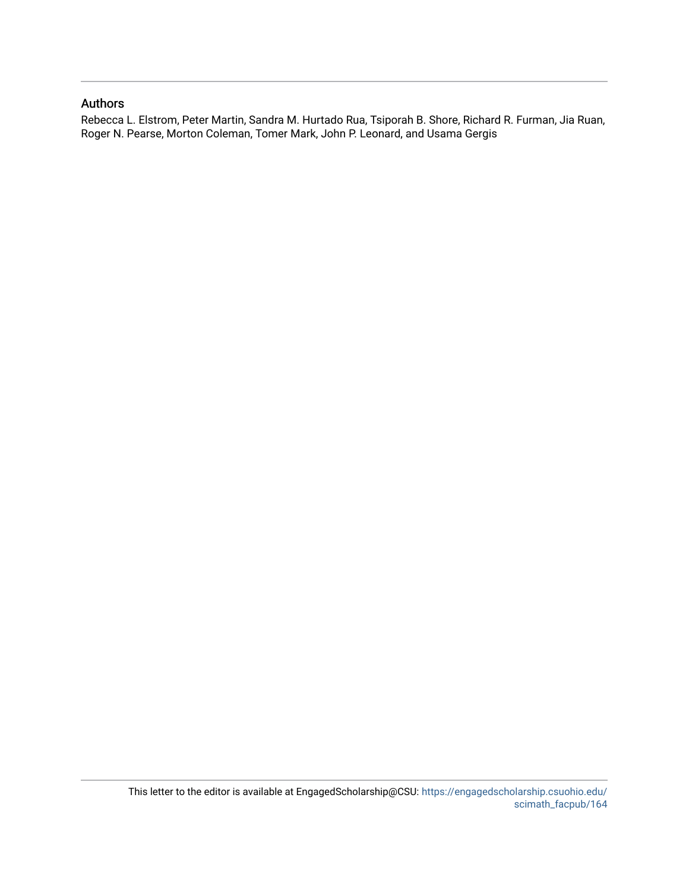#### Authors

Rebecca L. Elstrom, Peter Martin, Sandra M. Hurtado Rua, Tsiporah B. Shore, Richard R. Furman, Jia Ruan, Roger N. Pearse, Morton Coleman, Tomer Mark, John P. Leonard, and Usama Gergis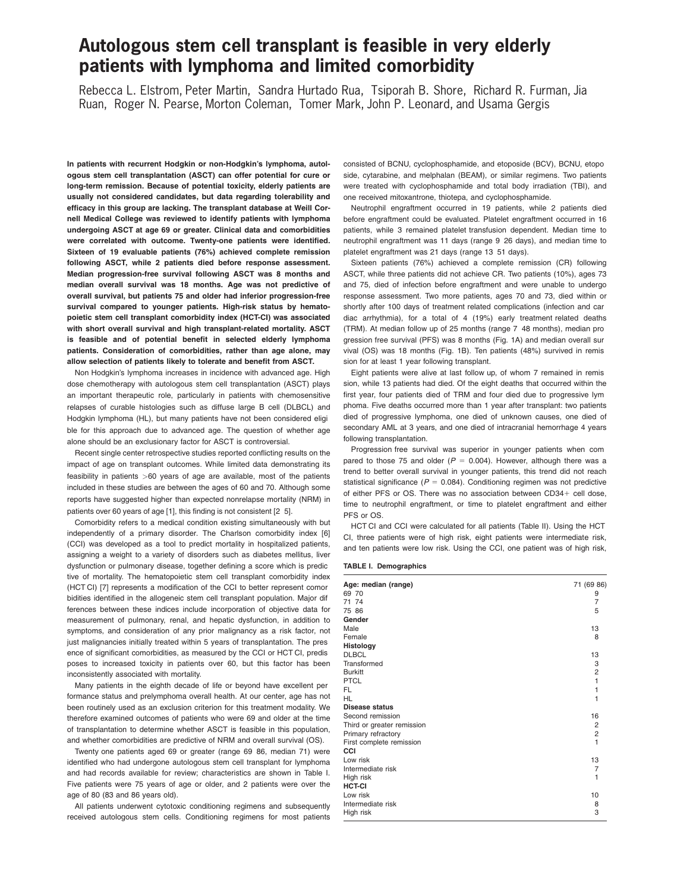## Autologous stem cell transplant is feasible in very elderly patients with lymphoma and limited comorbidity

Rebecca L. Elstrom, Peter Martin, Sandra Hurtado Rua, Tsiporah B. Shore, Richard R. Furman, Jia Ruan, Roger N. Pearse, Morton Coleman, Tomer Mark, John P. Leonard, and Usama Gergis

In patients with recurrent Hodgkin or non-Hodgkin's lymphoma, autologous stem cell transplantation (ASCT) can offer potential for cure or long-term remission. Because of potential toxicity, elderly patients are usually not considered candidates, but data regarding tolerability and efficacy in this group are lacking. The transplant database at Weill Cornell Medical College was reviewed to identify patients with lymphoma undergoing ASCT at age 69 or greater. Clinical data and comorbidities were correlated with outcome. Twenty-one patients were identified. Sixteen of 19 evaluable patients (76%) achieved complete remission following ASCT, while 2 patients died before response assessment. Median progression-free survival following ASCT was 8 months and median overall survival was 18 months. Age was not predictive of overall survival, but patients 75 and older had inferior progression-free survival compared to younger patients. High-risk status by hematopoietic stem cell transplant comorbidity index (HCT-CI) was associated with short overall survival and high transplant-related mortality. ASCT is feasible and of potential benefit in selected elderly lymphoma patients. Consideration of comorbidities, rather than age alone, may allow selection of patients likely to tolerate and benefit from ASCT.

Non Hodgkin's lymphoma increases in incidence with advanced age. High dose chemotherapy with autologous stem cell transplantation (ASCT) plays an important therapeutic role, particularly in patients with chemosensitive relapses of curable histologies such as diffuse large B cell (DLBCL) and Hodgkin lymphoma (HL), but many patients have not been considered eligi ble for this approach due to advanced age. The question of whether age alone should be an exclusionary factor for ASCT is controversial.

Recent single center retrospective studies reported conflicting results on the impact of age on transplant outcomes. While limited data demonstrating its feasibility in patients >60 years of age are available, most of the patients included in these studies are between the ages of 60 and 70. Although some reports have suggested higher than expected nonrelapse mortality (NRM) in patients over 60 years of age [1], this finding is not consistent [2 5].

Comorbidity refers to a medical condition existing simultaneously with but independently of a primary disorder. The Charlson comorbidity index [6] (CCI) was developed as a tool to predict mortality in hospitalized patients, assigning a weight to a variety of disorders such as diabetes mellitus, liver dysfunction or pulmonary disease, together defining a score which is predic tive of mortality. The hematopoietic stem cell transplant comorbidity index (HCT CI) [7] represents a modification of the CCI to better represent comor bidities identified in the allogeneic stem cell transplant population. Major dif ferences between these indices include incorporation of objective data for measurement of pulmonary, renal, and hepatic dysfunction, in addition to symptoms, and consideration of any prior malignancy as a risk factor, not just malignancies initially treated within 5 years of transplantation. The pres ence of significant comorbidities, as measured by the CCI or HCT CI, predis poses to increased toxicity in patients over 60, but this factor has been inconsistently associated with mortality.

Many patients in the eighth decade of life or beyond have excellent per formance status and prelymphoma overall health. At our center, age has not been routinely used as an exclusion criterion for this treatment modality. We therefore examined outcomes of patients who were 69 and older at the time of transplantation to determine whether ASCT is feasible in this population, and whether comorbidities are predictive of NRM and overall survival (OS).

Twenty one patients aged 69 or greater (range 69 86, median 71) were identified who had undergone autologous stem cell transplant for lymphoma and had records available for review; characteristics are shown in Table I. Five patients were 75 years of age or older, and 2 patients were over the age of 80 (83 and 86 years old).

All patients underwent cytotoxic conditioning regimens and subsequently received autologous stem cells. Conditioning regimens for most patients consisted of BCNU, cyclophosphamide, and etoposide (BCV), BCNU, etopo side, cytarabine, and melphalan (BEAM), or similar regimens. Two patients were treated with cyclophosphamide and total body irradiation (TBI), and one received mitoxantrone, thiotepa, and cyclophosphamide.

Neutrophil engraftment occurred in 19 patients, while 2 patients died before engraftment could be evaluated. Platelet engraftment occurred in 16 patients, while 3 remained platelet transfusion dependent. Median time to neutrophil engraftment was 11 days (range 9 26 days), and median time to platelet engraftment was 21 days (range 13 51 days).

Sixteen patients (76%) achieved a complete remission (CR) following ASCT, while three patients did not achieve CR. Two patients (10%), ages 73 and 75, died of infection before engraftment and were unable to undergo response assessment. Two more patients, ages 70 and 73, died within or shortly after 100 days of treatment related complications (infection and car diac arrhythmia), for a total of 4 (19%) early treatment related deaths (TRM). At median follow up of 25 months (range 7 48 months), median pro gression free survival (PFS) was 8 months (Fig. 1A) and median overall sur vival (OS) was 18 months (Fig. 1B). Ten patients (48%) survived in remis sion for at least 1 year following transplant.

Eight patients were alive at last follow up, of whom 7 remained in remis sion, while 13 patients had died. Of the eight deaths that occurred within the first year, four patients died of TRM and four died due to progressive lym phoma. Five deaths occurred more than 1 year after transplant: two patients died of progressive lymphoma, one died of unknown causes, one died of secondary AML at 3 years, and one died of intracranial hemorrhage 4 years following transplantation.

Progression free survival was superior in younger patients when com pared to those 75 and older ( $P = 0.004$ ). However, although there was a trend to better overall survival in younger patients, this trend did not reach statistical significance ( $P = 0.084$ ). Conditioning regimen was not predictive of either PFS or OS. There was no association between  $CD34+$  cell dose, time to neutrophil engraftment, or time to platelet engraftment and either PFS or OS.

HCT CI and CCI were calculated for all patients (Table II). Using the HCT CI, three patients were of high risk, eight patients were intermediate risk, and ten patients were low risk. Using the CCI, one patient was of high risk.

|  | <b>TABLE I. Demographics</b> |
|--|------------------------------|
|--|------------------------------|

| Age: median (range)<br>69 70 | 71 (69 86)<br>9 |
|------------------------------|-----------------|
| 71 74                        | $\overline{7}$  |
| 75 86                        | 5               |
| Gender                       |                 |
| Male                         | 13              |
| Female                       | 8               |
| Histology                    |                 |
| <b>DLBCL</b>                 | 13              |
| Transformed                  | 3               |
| <b>Burkitt</b>               | $\overline{c}$  |
| <b>PTCL</b>                  | 1               |
| FL.                          | 1               |
| HL                           | 1               |
| <b>Disease status</b>        |                 |
| Second remission             | 16              |
| Third or greater remission   | 2               |
| Primary refractory           | $\overline{c}$  |
| First complete remission     | $\mathbf{1}$    |
| CCI                          |                 |
| Low risk                     | 13              |
| Intermediate risk            | $\overline{7}$  |
| High risk                    | 1               |
| <b>HCT-CI</b>                |                 |
| Low risk                     | 10              |
| Intermediate risk            | 8               |
| High risk                    | 3               |
|                              |                 |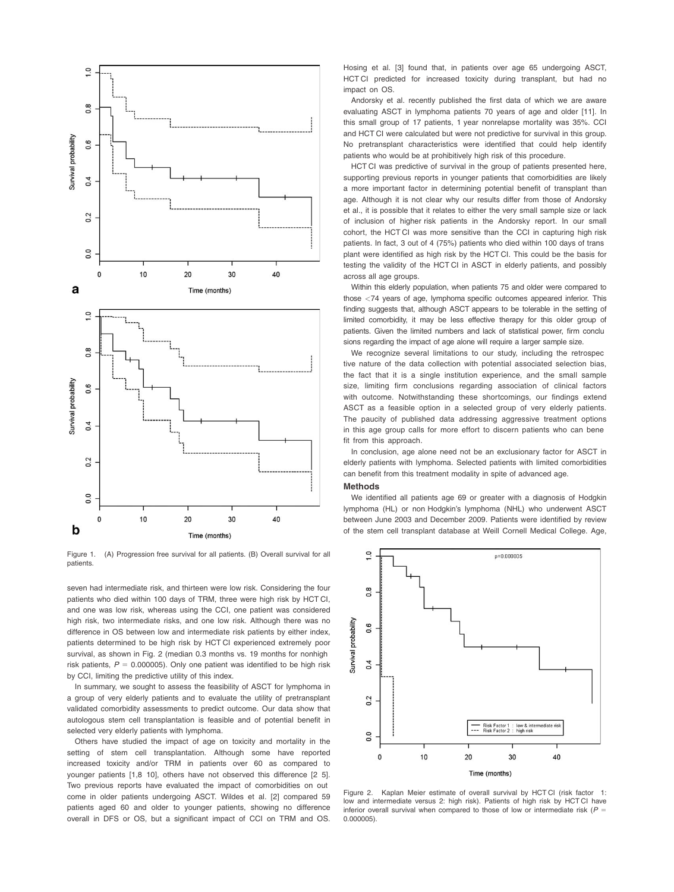

Figure 1. (A) Progression free survival for all patients. (B) Overall survival for all patients.

seven had intermediate risk, and thirteen were low risk. Considering the four patients who died within 100 days of TRM, three were high risk by HCT CI, and one was low risk, whereas using the CCI, one patient was considered high risk, two intermediate risks, and one low risk. Although there was no difference in OS between low and intermediate risk patients by either index, patients determined to be high risk by HCT CI experienced extremely poor survival, as shown in Fig. 2 (median 0.3 months vs. 19 months for nonhigh risk patients,  $P = 0.000005$ ). Only one patient was identified to be high risk by CCI, limiting the predictive utility of this index.

In summary, we sought to assess the feasibility of ASCT for lymphoma in a group of very elderly patients and to evaluate the utility of pretransplant validated comorbidity assessments to predict outcome. Our data show that autologous stem cell transplantation is feasible and of potential benefit in selected very elderly patients with lymphoma.

Others have studied the impact of age on toxicity and mortality in the setting of stem cell transplantation. Although some have reported increased toxicity and/or TRM in patients over 60 as compared to younger patients [1,8 10], others have not observed this difference [2 5]. Two previous reports have evaluated the impact of comorbidities on out come in older patients undergoing ASCT. Wildes et al. [2] compared 59 patients aged 60 and older to younger patients, showing no difference overall in DFS or OS, but a significant impact of CCI on TRM and OS. Hosing et al. [3] found that, in patients over age 65 undergoing ASCT, HCT CI predicted for increased toxicity during transplant, but had no impact on OS.

Andorsky et al. recently published the first data of which we are aware evaluating ASCT in lymphoma patients 70 years of age and older [11]. In this small group of 17 patients, 1 year nonrelapse mortality was 35%. CCI and HCT CI were calculated but were not predictive for survival in this group. No pretransplant characteristics were identified that could help identify patients who would be at prohibitively high risk of this procedure.

HCT CI was predictive of survival in the group of patients presented here, supporting previous reports in younger patients that comorbidities are likely a more important factor in determining potential benefit of transplant than age. Although it is not clear why our results differ from those of Andorsky et al., it is possible that it relates to either the very small sample size or lack of inclusion of higher risk patients in the Andorsky report. In our small cohort, the HCT CI was more sensitive than the CCI in capturing high risk patients. In fact, 3 out of 4 (75%) patients who died within 100 days of trans plant were identified as high risk by the HCT CI. This could be the basis for testing the validity of the HCT CI in ASCT in elderly patients, and possibly across all age groups.

Within this elderly population, when patients 75 and older were compared to those <74 years of age, lymphoma specific outcomes appeared inferior. This finding suggests that, although ASCT appears to be tolerable in the setting of limited comorbidity, it may be less effective therapy for this older group of patients. Given the limited numbers and lack of statistical power, firm conclu sions regarding the impact of age alone will require a larger sample size.

We recognize several limitations to our study, including the retrospec tive nature of the data collection with potential associated selection bias, the fact that it is a single institution experience, and the small sample size, limiting firm conclusions regarding association of clinical factors with outcome. Notwithstanding these shortcomings, our findings extend ASCT as a feasible option in a selected group of very elderly patients. The paucity of published data addressing aggressive treatment options in this age group calls for more effort to discern patients who can bene fit from this approach.

In conclusion, age alone need not be an exclusionary factor for ASCT in elderly patients with lymphoma. Selected patients with limited comorbidities can benefit from this treatment modality in spite of advanced age.

#### Methods

We identified all patients age 69 or greater with a diagnosis of Hodgkin lymphoma (HL) or non Hodgkin's lymphoma (NHL) who underwent ASCT between June 2003 and December 2009. Patients were identified by review of the stem cell transplant database at Weill Cornell Medical College. Age,



Figure 2. Kaplan Meier estimate of overall survival by HCT CI (risk factor 1: low and intermediate versus 2: high risk). Patients of high risk by HCT CI have inferior overall survival when compared to those of low or intermediate risk ( $P =$ 0.000005).